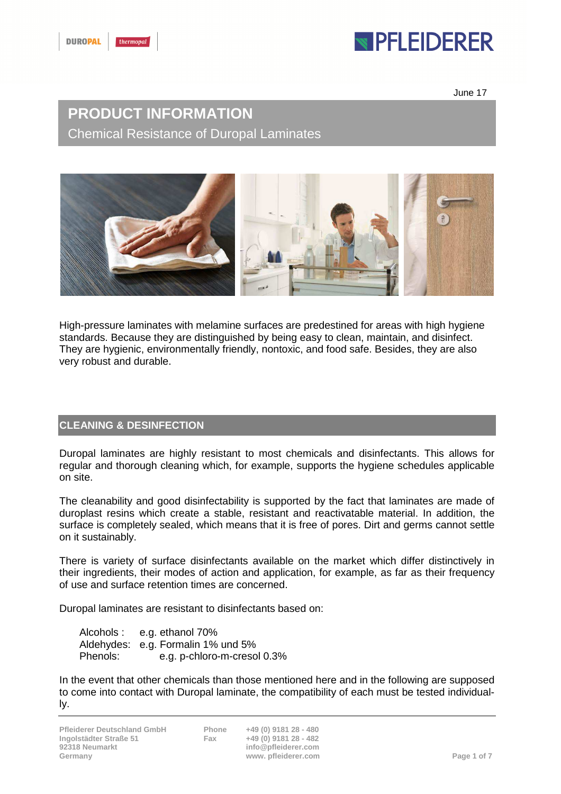# **IPFLEIDERER**

June 17

### **PRODUCT INFORMATION**  Chemical Resistance of Duropal Laminates



High-pressure laminates with melamine surfaces are predestined for areas with high hygiene standards. Because they are distinguished by being easy to clean, maintain, and disinfect. They are hygienic, environmentally friendly, nontoxic, and food safe. Besides, they are also very robust and durable.

### **CLEANING & DESINFECTION**

Duropal laminates are highly resistant to most chemicals and disinfectants. This allows for regular and thorough cleaning which, for example, supports the hygiene schedules applicable on site.

The cleanability and good disinfectability is supported by the fact that laminates are made of duroplast resins which create a stable, resistant and reactivatable material. In addition, the surface is completely sealed, which means that it is free of pores. Dirt and germs cannot settle on it sustainably.

There is variety of surface disinfectants available on the market which differ distinctively in their ingredients, their modes of action and application, for example, as far as their frequency of use and surface retention times are concerned.

Duropal laminates are resistant to disinfectants based on:

Alcohols : e.g. ethanol 70% Aldehydes: e.g. Formalin 1% und 5% Phenols: e.g. p-chloro-m-cresol 0.3%

In the event that other chemicals than those mentioned here and in the following are supposed to come into contact with Duropal laminate, the compatibility of each must be tested individually.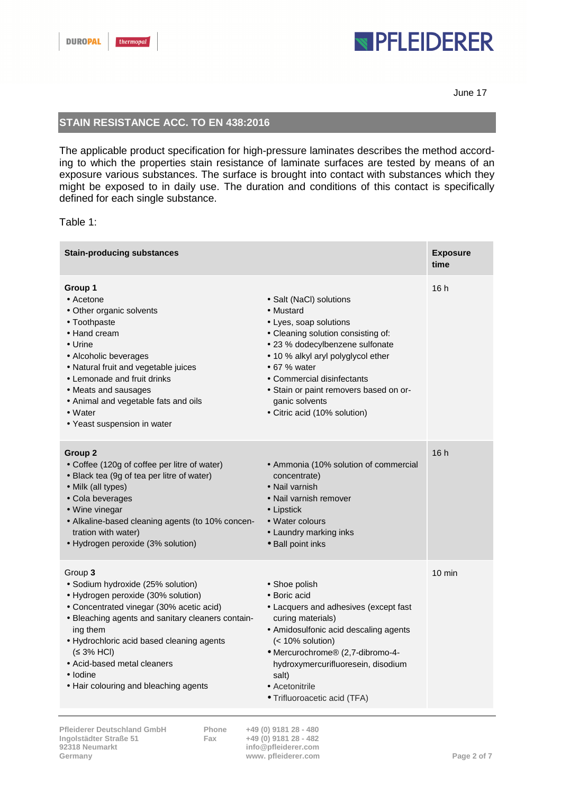# **NPFLEIDERER**

June 17

### **STAIN RESISTANCE ACC. TO EN 438:2016**

The applicable product specification for high-pressure laminates describes the method according to which the properties stain resistance of laminate surfaces are tested by means of an exposure various substances. The surface is brought into contact with substances which they might be exposed to in daily use. The duration and conditions of this contact is specifically defined for each single substance.

#### Table 1:

| <b>Stain-producing substances</b>                                                                                                                                                                                                                                                                                                              |                                                                                                                                                                                                                                                                                                                                 | <b>Exposure</b><br>time |
|------------------------------------------------------------------------------------------------------------------------------------------------------------------------------------------------------------------------------------------------------------------------------------------------------------------------------------------------|---------------------------------------------------------------------------------------------------------------------------------------------------------------------------------------------------------------------------------------------------------------------------------------------------------------------------------|-------------------------|
| Group 1<br>• Acetone<br>• Other organic solvents<br>• Toothpaste<br>• Hand cream<br>$\bullet$ Urine<br>• Alcoholic beverages<br>• Natural fruit and vegetable juices<br>• Lemonade and fruit drinks<br>• Meats and sausages<br>• Animal and vegetable fats and oils<br>$\bullet$ Water<br>• Yeast suspension in water                          | • Salt (NaCl) solutions<br>• Mustard<br>• Lyes, soap solutions<br>• Cleaning solution consisting of:<br>• 23 % dodecylbenzene sulfonate<br>• 10 % alkyl aryl polyglycol ether<br>$\bullet$ 67 % water<br>• Commercial disinfectants<br>• Stain or paint removers based on or-<br>ganic solvents<br>• Citric acid (10% solution) | 16h                     |
| Group <sub>2</sub><br>• Coffee (120g of coffee per litre of water)<br>• Black tea (9g of tea per litre of water)<br>• Milk (all types)<br>• Cola beverages<br>• Wine vinegar<br>• Alkaline-based cleaning agents (to 10% concen-<br>tration with water)<br>• Hydrogen peroxide (3% solution)                                                   | • Ammonia (10% solution of commercial<br>concentrate)<br>• Nail varnish<br>• Nail varnish remover<br>$\bullet$ Lipstick<br>• Water colours<br>• Laundry marking inks<br>· Ball point inks                                                                                                                                       | 16h                     |
| Group 3<br>· Sodium hydroxide (25% solution)<br>• Hydrogen peroxide (30% solution)<br>• Concentrated vinegar (30% acetic acid)<br>• Bleaching agents and sanitary cleaners contain-<br>ing them<br>• Hydrochloric acid based cleaning agents<br>(≤ 3% HCl)<br>• Acid-based metal cleaners<br>• Iodine<br>• Hair colouring and bleaching agents | • Shoe polish<br>• Boric acid<br>• Lacquers and adhesives (except fast<br>curing materials)<br>• Amidosulfonic acid descaling agents<br>(< 10% solution)<br>• Mercurochrome® (2,7-dibromo-4-<br>hydroxymercurifluoresein, disodium<br>salt)<br>• Acetonitrile<br>· Trifluoroacetic acid (TFA)                                   | $10 \text{ min}$        |

**92318 Neumarkt info@pfleiderer.com**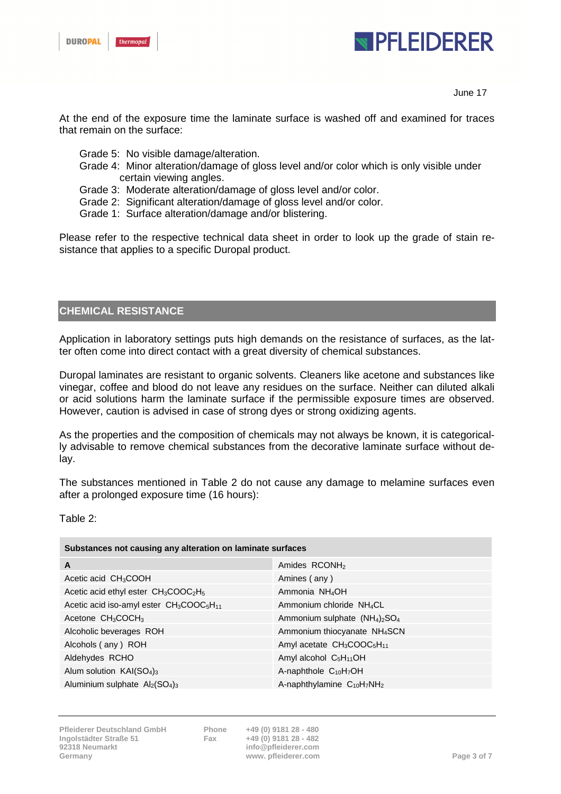



June 17

At the end of the exposure time the laminate surface is washed off and examined for traces that remain on the surface:

- Grade 5: No visible damage/alteration.
- Grade 4: Minor alteration/damage of gloss level and/or color which is only visible under certain viewing angles.
- Grade 3: Moderate alteration/damage of gloss level and/or color.
- Grade 2: Significant alteration/damage of gloss level and/or color.
- Grade 1: Surface alteration/damage and/or blistering.

Please refer to the respective technical data sheet in order to look up the grade of stain resistance that applies to a specific Duropal product.

#### **CHEMICAL RESISTANCE**

Application in laboratory settings puts high demands on the resistance of surfaces, as the latter often come into direct contact with a great diversity of chemical substances.

Duropal laminates are resistant to organic solvents. Cleaners like acetone and substances like vinegar, coffee and blood do not leave any residues on the surface. Neither can diluted alkali or acid solutions harm the laminate surface if the permissible exposure times are observed. However, caution is advised in case of strong dyes or strong oxidizing agents.

As the properties and the composition of chemicals may not always be known, it is categorically advisable to remove chemical substances from the decorative laminate surface without delay.

The substances mentioned in Table 2 do not cause any damage to melamine surfaces even after a prolonged exposure time (16 hours):

Table 2:

| Substances not causing any alteration on laminate surfaces                   |                                                         |  |
|------------------------------------------------------------------------------|---------------------------------------------------------|--|
| A                                                                            | Amides RCONH <sub>2</sub>                               |  |
| Acetic acid $CH3COOH$                                                        | Amines (any)                                            |  |
| Acetic acid ethyl ester $CH3COOC2H5$                                         | Ammonia NH <sub>4</sub> OH                              |  |
| Acetic acid iso-amyl ester CH <sub>3</sub> COOC <sub>5</sub> H <sub>11</sub> | Ammonium chloride NH <sub>4</sub> CL                    |  |
| Acetone $CH3COCH3$                                                           | Ammonium sulphate $(NH_4)$ <sub>2</sub> SO <sub>4</sub> |  |
| Alcoholic beverages ROH                                                      | Ammonium thiocyanate NH <sub>4</sub> SCN                |  |
| Alcohols (any) ROH                                                           | Amyl acetate $CH3COOC5H11$                              |  |
| Aldehydes RCHO                                                               | Amyl alcohol $C_5H_{11}OH$                              |  |
| Alum solution $KAI(SO4)3$                                                    | A-naphthole $C_{10}H_7OH$                               |  |
| Aluminium sulphate $\text{Al}_2(\text{SO}_4)_3$                              | A-naphthylamine $C_{10}H_7NH_2$                         |  |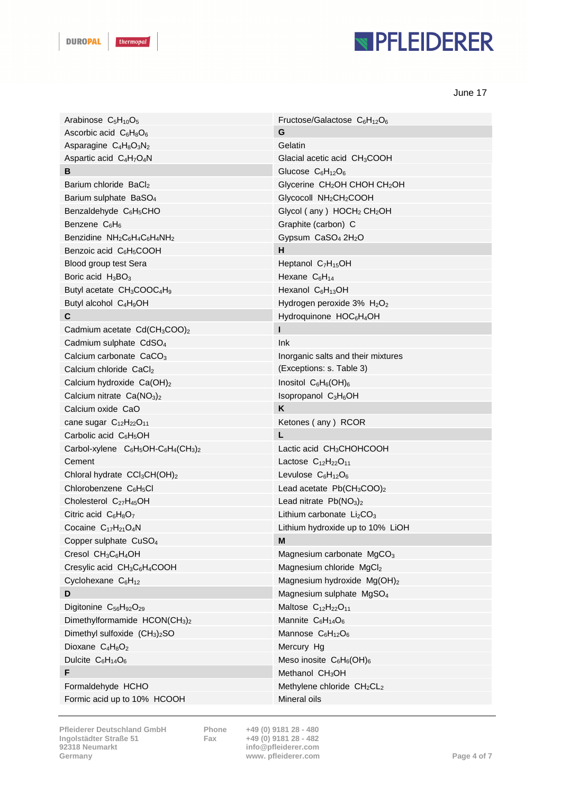# **NPFLEIDERER**

June 17

| Arabinose $C_5H_{10}O_5$                                         | Fructose/Galactose $C_6H_{12}O_6$                    |
|------------------------------------------------------------------|------------------------------------------------------|
| Ascorbic acid $C_6H_8O_6$                                        | G                                                    |
| Asparagine $C_4H_8O_3N_2$                                        | Gelatin                                              |
| Aspartic acid C <sub>4</sub> H <sub>7</sub> O <sub>4</sub> N     | Glacial acetic acid CH <sub>3</sub> COOH             |
| B                                                                | Glucose $C_6H_{12}O_6$                               |
| Barium chloride BaCl2                                            | Glycerine CH <sub>2</sub> OH CHOH CH <sub>2</sub> OH |
| Barium sulphate BaSO <sub>4</sub>                                | Glycocoll NH <sub>2</sub> CH <sub>2</sub> COOH       |
| Benzaldehyde C <sub>6</sub> H <sub>5</sub> CHO                   | Glycol (any) HOCH <sub>2</sub> CH <sub>2</sub> OH    |
| Benzene $C_6H_6$                                                 | Graphite (carbon) C                                  |
| Benzidine $NH_2C_6H_4C_6H_4NH_2$                                 | Gypsum CaSO <sub>4</sub> 2H <sub>2</sub> O           |
| Benzoic acid C <sub>6</sub> H <sub>5</sub> COOH                  | н                                                    |
| Blood group test Sera                                            | Heptanol $C_7H_{15}OH$                               |
| Boric acid $H_3BO_3$                                             | Hexane $C_6H_{14}$                                   |
| Butyl acetate CH <sub>3</sub> COOC <sub>4</sub> H <sub>9</sub>   | Hexanol $C_6H_{13}OH$                                |
| Butyl alcohol $C_4H_9OH$                                         | Hydrogen peroxide 3% H <sub>2</sub> O <sub>2</sub>   |
| C                                                                | Hydroquinone HOC <sub>6</sub> H <sub>4</sub> OH      |
| Cadmium acetate Cd(CH <sub>3</sub> COO) <sub>2</sub>             |                                                      |
| Cadmium sulphate CdSO <sub>4</sub>                               | Ink                                                  |
| Calcium carbonate CaCO <sub>3</sub>                              | Inorganic salts and their mixtures                   |
| Calcium chloride CaCl2                                           | (Exceptions: s. Table 3)                             |
| Calcium hydroxide Ca(OH) <sub>2</sub>                            | Inositol $C_6H_6(OH)_6$                              |
| Calcium nitrate $Ca(NO3)2$                                       | Isopropanol C <sub>3</sub> H <sub>6</sub> OH         |
| Calcium oxide CaO                                                | K                                                    |
| cane sugar $C_{12}H_{22}O_{11}$                                  | Ketones (any) RCOR                                   |
| Carbolic acid $C_6H_5OH$                                         | L.                                                   |
| Carbol-xylene $C_6H_5OH-C_6H_4(CH_3)_2$                          | Lactic acid $CH3CHOHCOOH$                            |
| Cement                                                           | Lactose $C_{12}H_{22}O_{11}$                         |
| Chloral hydrate CCl <sub>3</sub> CH(OH) <sub>2</sub>             | Levulose $C_6H_{12}O_6$                              |
| Chlorobenzene C <sub>6</sub> H <sub>5</sub> Cl                   | Lead acetate $Pb(CH_3COO)_2$                         |
| Cholesterol C <sub>27</sub> H <sub>45</sub> OH                   | Lead nitrate $Pb(NO3)2$                              |
| Citric acid $C_6H_8O_7$                                          | Lithium carbonate $Li2CO3$                           |
| Cocaine $C_{17}H_{21}O_4N$                                       | Lithium hydroxide up to 10% LiOH                     |
| Copper sulphate CuSO <sub>4</sub>                                | M                                                    |
| Cresol $CH_3C_6H_4OH$                                            | Magnesium carbonate MgCO <sub>3</sub>                |
| Cresylic acid CH <sub>3</sub> C <sub>6</sub> H <sub>4</sub> COOH | Magnesium chloride MgCl2                             |
| Cyclohexane C <sub>6</sub> H <sub>12</sub>                       | Magnesium hydroxide Mg(OH)2                          |
| D                                                                | Magnesium sulphate MgSO <sub>4</sub>                 |
| Digitonine C <sub>56</sub> H <sub>92</sub> O <sub>29</sub>       | Maltose $C_{12}H_{22}O_{11}$                         |
| Dimethylformamide HCON(CH <sub>3</sub> ) <sub>2</sub>            | Mannite $C_6H_{14}O_6$                               |
| Dimethyl sulfoxide $(CH_3)_2SO$                                  | Mannose $C_6H_{12}O_6$                               |
| Dioxane C <sub>4</sub> H <sub>8</sub> O <sub>2</sub>             | Mercury Hg                                           |
| Dulcite C <sub>6</sub> H <sub>14</sub> O <sub>6</sub>            | Meso inosite $C_6H_6(OH)_6$                          |
| F                                                                | Methanol CH <sub>3</sub> OH                          |
| Formaldehyde HCHO                                                | Methylene chloride CH <sub>2</sub> CL <sub>2</sub>   |
| Formic acid up to 10% HCOOH                                      | Mineral oils                                         |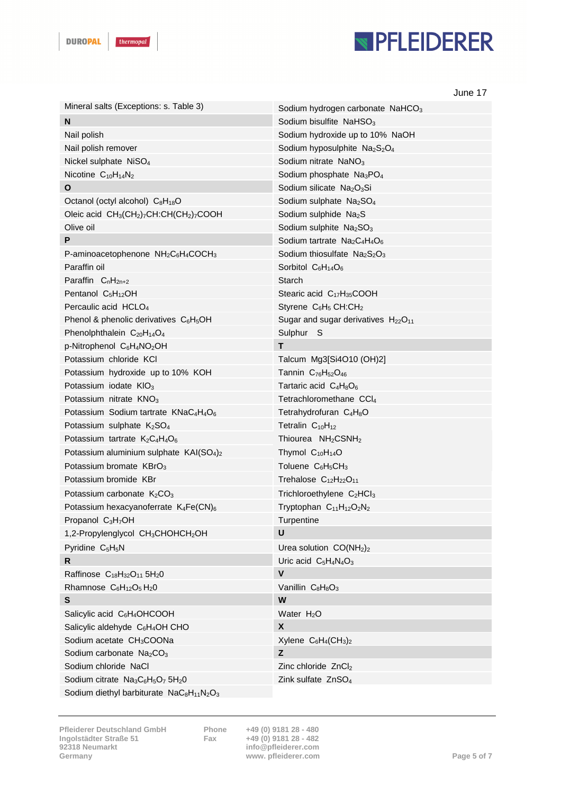# **NPFLEIDERER**

|                                                                                               | June 17                                                                  |
|-----------------------------------------------------------------------------------------------|--------------------------------------------------------------------------|
| Mineral salts (Exceptions: s. Table 3)                                                        | Sodium hydrogen carbonate NaHCO <sub>3</sub>                             |
| N                                                                                             | Sodium bisulfite $N$ aHSO <sub>3</sub>                                   |
| Nail polish                                                                                   | Sodium hydroxide up to 10% NaOH                                          |
| Nail polish remover                                                                           | Sodium hyposulphite Na <sub>2</sub> S <sub>2</sub> O <sub>4</sub>        |
| Nickel sulphate NiSO <sub>4</sub>                                                             | Sodium nitrate NaNO <sub>3</sub>                                         |
| Nicotine $C_{10}H_{14}N_2$                                                                    | Sodium phosphate Na <sub>3</sub> PO <sub>4</sub>                         |
| O                                                                                             | Sodium silicate Na <sub>2</sub> O <sub>3</sub> Si                        |
| Octanol (octyl alcohol) C <sub>8</sub> H <sub>18</sub> O                                      | Sodium sulphate Na <sub>2</sub> SO <sub>4</sub>                          |
| Oleic acid CH <sub>3</sub> (CH <sub>2</sub> )7CH:CH(CH <sub>2</sub> )7COOH                    | Sodium sulphide Na <sub>2</sub> S                                        |
| Olive oil                                                                                     | Sodium sulphite Na <sub>2</sub> SO <sub>3</sub>                          |
| P                                                                                             | Sodium tartrate $Na2C4H4O6$                                              |
| P-aminoacetophenone NH <sub>2</sub> C <sub>6</sub> H <sub>4</sub> COCH <sub>3</sub>           | Sodium thiosulfate Na <sub>2</sub> S <sub>2</sub> O <sub>3</sub>         |
| Paraffin oil                                                                                  | Sorbitol $C_6H_{14}O_6$                                                  |
| Paraffin $CnH2n+2$                                                                            | Starch                                                                   |
| Pentanol $C_5H_{12}OH$                                                                        | Stearic acid $C_{17}H_{35}COOH$                                          |
| Percaulic acid HCLO <sub>4</sub>                                                              | Styrene C <sub>6</sub> H <sub>5</sub> CH:CH <sub>2</sub>                 |
| Phenol & phenolic derivatives $C_6H_5OH$                                                      | Sugar and sugar derivatives $H_{22}O_{11}$                               |
| Phenolphthalein C <sub>20</sub> H <sub>14</sub> O <sub>4</sub>                                | Sulphur S                                                                |
| p-Nitrophenol C <sub>6</sub> H <sub>4</sub> NO <sub>2</sub> OH                                | T                                                                        |
| Potassium chloride KCI                                                                        | Talcum Mg3[Si4O10 (OH)2]                                                 |
| Potassium hydroxide up to 10% KOH                                                             | Tannin C <sub>76</sub> H <sub>52</sub> O <sub>46</sub>                   |
| Potassium iodate KIO <sub>3</sub>                                                             | Tartaric acid $C_4H_8O_6$                                                |
| Potassium nitrate KNO <sub>3</sub>                                                            | Tetrachloromethane CCI <sub>4</sub>                                      |
| Potassium Sodium tartrate KNaC <sub>4</sub> H <sub>4</sub> O <sub>6</sub>                     | Tetrahydrofuran C <sub>4</sub> H <sub>8</sub> O                          |
| Potassium sulphate K <sub>2</sub> SO <sub>4</sub>                                             | Tetralin $C_{10}H_{12}$                                                  |
| Potassium tartrate $K_2C_4H_4O_6$                                                             | Thiourea NH <sub>2</sub> CSNH <sub>2</sub>                               |
| Potassium aluminium sulphate KAI(SO <sub>4</sub> ) <sub>2</sub>                               | Thymol $C_{10}H_{14}O$                                                   |
| Potassium bromate KBrO <sub>3</sub>                                                           | Toluene $C_6H_5CH_3$                                                     |
| Potassium bromide KBr                                                                         | Trehalose $C_{12}H_{22}O_{11}$                                           |
| Potassium carbonate $K_2CO_3$                                                                 | Trichloroethylene C <sub>2</sub> HCl <sub>3</sub>                        |
| Potassium hexacyanoferrate K4Fe(CN)6                                                          | Tryptophan C <sub>11</sub> H <sub>12</sub> O <sub>2</sub> N <sub>2</sub> |
| Propanol C <sub>3</sub> H <sub>7</sub> OH                                                     | Turpentine                                                               |
| 1,2-Propylenglycol CH <sub>3</sub> CHOHCH <sub>2</sub> OH                                     | U                                                                        |
| Pyridine C <sub>5</sub> H <sub>5</sub> N                                                      | Urea solution $CO(NH2)2$                                                 |
| $\mathsf{R}$                                                                                  | Uric acid $C_5H_4N_4O_3$                                                 |
| Raffinose C <sub>18</sub> H <sub>32</sub> O <sub>11</sub> 5H <sub>2</sub> 0                   | $\pmb{\mathsf{V}}$                                                       |
| Rhamnose $C_6H_{12}O_5H_2O$                                                                   | Vanillin C <sub>8</sub> H <sub>8</sub> O <sub>3</sub>                    |
| S                                                                                             | W                                                                        |
| Salicylic acid C <sub>6</sub> H <sub>4</sub> OHCOOH                                           | Water $H_2O$                                                             |
| Salicylic aldehyde C <sub>6</sub> H <sub>4</sub> OH CHO                                       | X                                                                        |
| Sodium acetate CH <sub>3</sub> COONa                                                          | Xylene $C_6H_4(CH_3)_2$                                                  |
| Sodium carbonate Na <sub>2</sub> CO <sub>3</sub>                                              | z                                                                        |
| Sodium chloride NaCl                                                                          | Zinc chloride $ZnCl2$                                                    |
| Sodium citrate Na <sub>3</sub> C <sub>6</sub> H <sub>5</sub> O <sub>7</sub> 5H <sub>2</sub> 0 | Zink sulfate ZnSO <sub>4</sub>                                           |
| Sodium diethyl barbiturate NaC <sub>8</sub> H <sub>11</sub> N <sub>2</sub> O <sub>3</sub>     |                                                                          |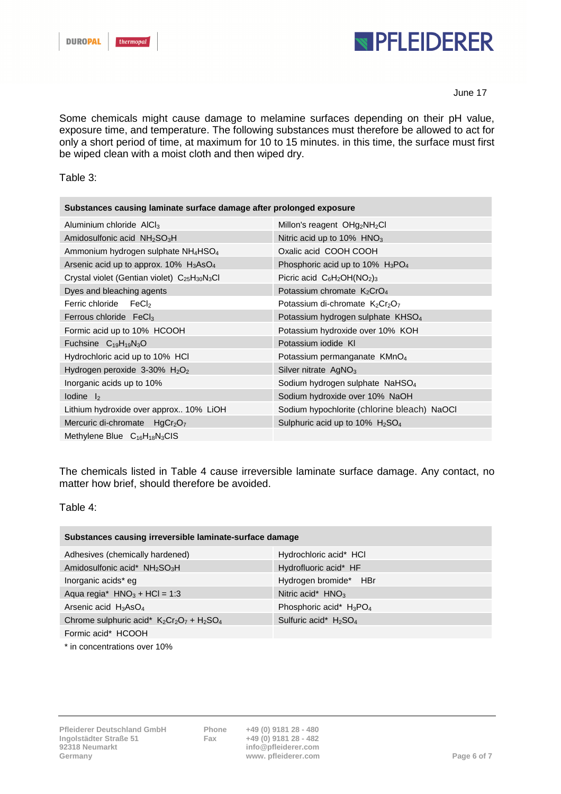

#### June 17

Some chemicals might cause damage to melamine surfaces depending on their pH value, exposure time, and temperature. The following substances must therefore be allowed to act for only a short period of time, at maximum for 10 to 15 minutes. in this time, the surface must first be wiped clean with a moist cloth and then wiped dry.

Table 3:

| Substances causing laminate surface damage after prolonged exposure |                                                            |  |
|---------------------------------------------------------------------|------------------------------------------------------------|--|
| Aluminium chloride $AICI3$                                          | Millon's reagent $OHg2NH2Cl$                               |  |
| Amidosulfonic acid NH <sub>2</sub> SO <sub>3</sub> H                | Nitric acid up to $10\%$ HNO <sub>3</sub>                  |  |
| Ammonium hydrogen sulphate NH <sub>4</sub> HSO <sub>4</sub>         | Oxalic acid COOH COOH                                      |  |
| Arsenic acid up to approx. $10\%$ H <sub>3</sub> AsO <sub>4</sub>   | Phosphoric acid up to 10% $H_3PO_4$                        |  |
| Crystal violet (Gentian violet) $C_{25}H_{30}N_3Cl$                 | Picric acid $C_6H_2OH(NO_2)_3$                             |  |
| Dyes and bleaching agents                                           | Potassium chromate $K_2$ CrO <sub>4</sub>                  |  |
| Ferric chloride<br>FeCl                                             | Potassium di-chromate $K_2Cr_2O_7$                         |  |
| Ferrous chloride FeCl <sub>3</sub>                                  | Potassium hydrogen sulphate KHSO <sub>4</sub>              |  |
| Formic acid up to 10% HCOOH                                         | Potassium hydroxide over 10% KOH                           |  |
| Fuchsine $C_{19}H_{19}N_3O$                                         | Potassium iodide KI                                        |  |
| Hydrochloric acid up to 10% HCl                                     | Potassium permanganate KMnO <sub>4</sub>                   |  |
| Hydrogen peroxide $3-30\%$ H <sub>2</sub> O <sub>2</sub>            | Silver nitrate $AgNO3$                                     |  |
| Inorganic acids up to 10%                                           | Sodium hydrogen sulphate NaHSO <sub>4</sub>                |  |
| $I$ odine $I$ <sub>2</sub>                                          | Sodium hydroxide over 10% NaOH                             |  |
| Lithium hydroxide over approx 10% LiOH                              | Sodium hypochlorite (chlorine bleach) NaOCI                |  |
| Mercuric di-chromate HgCr <sub>2</sub> O <sub>7</sub>               | Sulphuric acid up to $10\%$ H <sub>2</sub> SO <sub>4</sub> |  |
| Methylene Blue $C_{16}H_{18}N_3CIS$                                 |                                                            |  |

The chemicals listed in Table 4 cause irreversible laminate surface damage. Any contact, no matter how brief, should therefore be avoided.

Table 4:

| Substances causing irreversible laminate-surface damage |                            |  |
|---------------------------------------------------------|----------------------------|--|
| Adhesives (chemically hardened)                         | Hydrochloric acid* HCI     |  |
| Amidosulfonic acid* NH <sub>2</sub> SO <sub>3</sub> H   | Hydrofluoric acid* HF      |  |
| Inorganic acids* eg                                     | Hydrogen bromide* HBr      |  |
| Aqua regia* $HNO3 + HCl = 1:3$                          | Nitric acid* $HNO3$        |  |
| Arsenic acid $H_3AsO_4$                                 | Phosphoric acid* $H_3PO_4$ |  |
| Chrome sulphuric acid* $K_2Cr_2O_7 + H_2SO_4$           | Sulfuric acid* $H_2SO_4$   |  |
| Formic acid* HCOOH                                      |                            |  |

\* in concentrations over 10%